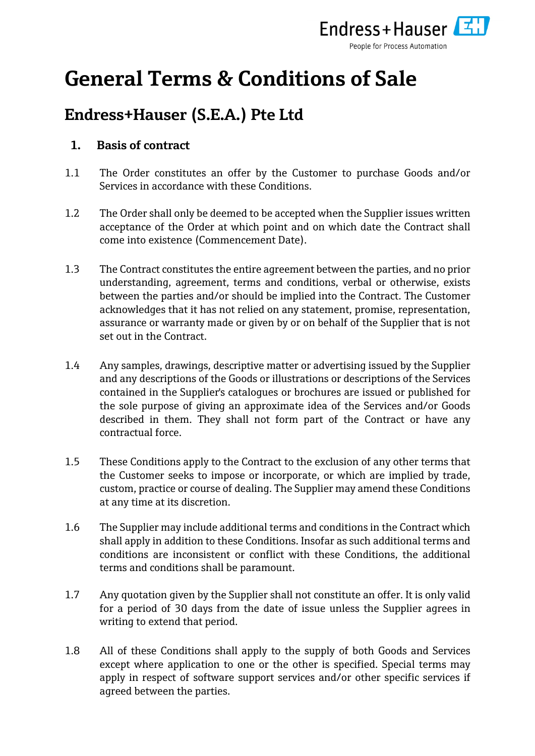

# **General Terms & Conditions of Sale**

# **Endress+Hauser (S.E.A.) Pte Ltd**

# **1. Basis of contract**

- 1.1 The Order constitutes an offer by the Customer to purchase Goods and/or Services in accordance with these Conditions.
- <span id="page-0-0"></span>1.2 The Order shall only be deemed to be accepted when the Supplier issues written acceptance of the Order at which point and on which date the Contract shall come into existence (Commencement Date).
- 1.3 The Contract constitutes the entire agreement between the parties, and no prior understanding, agreement, terms and conditions, verbal or otherwise, exists between the parties and/or should be implied into the Contract. The Customer acknowledges that it has not relied on any statement, promise, representation, assurance or warranty made or given by or on behalf of the Supplier that is not set out in the Contract.
- 1.4 Any samples, drawings, descriptive matter or advertising issued by the Supplier and any descriptions of the Goods or illustrations or descriptions of the Services contained in the Supplier's catalogues or brochures are issued or published for the sole purpose of giving an approximate idea of the Services and/or Goods described in them. They shall not form part of the Contract or have any contractual force.
- <span id="page-0-1"></span>1.5 These Conditions apply to the Contract to the exclusion of any other terms that the Customer seeks to impose or incorporate, or which are implied by trade, custom, practice or course of dealing. The Supplier may amend these Conditions at any time at its discretion.
- 1.6 The Supplier may include additional terms and conditions in the Contract which shall apply in addition to these Conditions. Insofar as such additional terms and conditions are inconsistent or conflict with these Conditions, the additional terms and conditions shall be paramount.
- 1.7 Any quotation given by the Supplier shall not constitute an offer. It is only valid for a period of 30 days from the date of issue unless the Supplier agrees in writing to extend that period.
- 1.8 All of these Conditions shall apply to the supply of both Goods and Services except where application to one or the other is specified. Special terms may apply in respect of software support services and/or other specific services if agreed between the parties.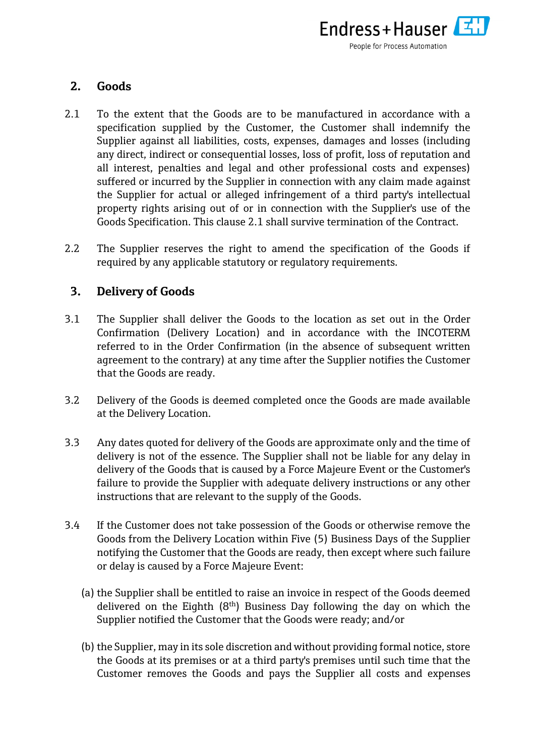

# **2. Goods**

- 2.1 To the extent that the Goods are to be manufactured in accordance with a specification supplied by the Customer, the Customer shall indemnify the Supplier against all liabilities, costs, expenses, damages and losses (including any direct, indirect or consequential losses, loss of profit, loss of reputation and all interest, penalties and legal and other professional costs and expenses) suffered or incurred by the Supplier in connection with any claim made against the Supplier for actual or alleged infringement of a third party's intellectual property rights arising out of or in connection with the Supplier's use of the Goods Specification. This clause 2.1 shall survive termination of the Contract.
- 2.2 The Supplier reserves the right to amend the specification of the Goods if required by any applicable statutory or regulatory requirements.

# **3. Delivery of Goods**

- <span id="page-1-0"></span>3.1 The Supplier shall deliver the Goods to the location as set out in the Order Confirmation (Delivery Location) and in accordance with the INCOTERM referred to in the Order Confirmation (in the absence of subsequent written agreement to the contrary) at any time after the Supplier notifies the Customer that the Goods are ready.
- 3.2 Delivery of the Goods is deemed completed once the Goods are made available at the Delivery Location.
- 3.3 Any dates quoted for delivery of the Goods are approximate only and the time of delivery is not of the essence. The Supplier shall not be liable for any delay in delivery of the Goods that is caused by a Force Majeure Event or the Customer's failure to provide the Supplier with adequate delivery instructions or any other instructions that are relevant to the supply of the Goods.
- 3.4 If the Customer does not take possession of the Goods or otherwise remove the Goods from the Delivery Location within Five (5) Business Days of the Supplier notifying the Customer that the Goods are ready, then except where such failure or delay is caused by a Force Majeure Event:
	- (a) the Supplier shall be entitled to raise an invoice in respect of the Goods deemed delivered on the Eighth  $(8<sup>th</sup>)$  Business Day following the day on which the Supplier notified the Customer that the Goods were ready; and/or
	- (b) the Supplier, may in its sole discretion and without providing formal notice, store the Goods at its premises or at a third party's premises until such time that the Customer removes the Goods and pays the Supplier all costs and expenses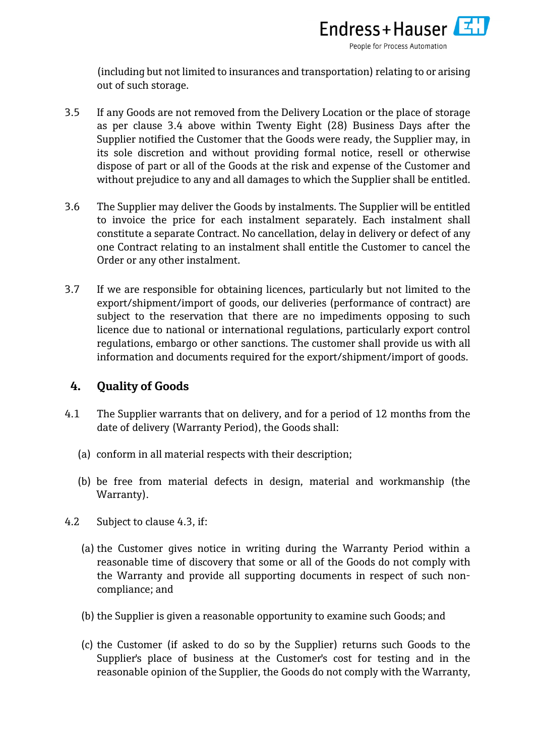

(including but not limited to insurances and transportation) relating to or arising out of such storage.

- 3.5 If any Goods are not removed from the Delivery Location or the place of storage as per clause 3.4 above within Twenty Eight (28) Business Days after the Supplier notified the Customer that the Goods were ready, the Supplier may, in its sole discretion and without providing formal notice, resell or otherwise dispose of part or all of the Goods at the risk and expense of the Customer and without prejudice to any and all damages to which the Supplier shall be entitled.
- 3.6 The Supplier may deliver the Goods by instalments. The Supplier will be entitled to invoice the price for each instalment separately. Each instalment shall constitute a separate Contract. No cancellation, delay in delivery or defect of any one Contract relating to an instalment shall entitle the Customer to cancel the Order or any other instalment.
- 3.7 If we are responsible for obtaining licences, particularly but not limited to the export/shipment/import of goods, our deliveries (performance of contract) are subject to the reservation that there are no impediments opposing to such licence due to national or international regulations, particularly export control regulations, embargo or other sanctions. The customer shall provide us with all information and documents required for the export/shipment/import of goods.

# **4. Quality of Goods**

- 4.1 The Supplier warrants that on delivery, and for a period of 12 months from the date of delivery (Warranty Period), the Goods shall:
	- (a) conform in all material respects with their description;
	- (b) be free from material defects in design, material and workmanship (the Warranty).
- <span id="page-2-1"></span><span id="page-2-0"></span>4.2 Subject to clause [4.3,](#page-3-0) if:
	- (a) the Customer gives notice in writing during the Warranty Period within a reasonable time of discovery that some or all of the Goods do not comply with the Warranty and provide all supporting documents in respect of such noncompliance; and
	- (b) the Supplier is given a reasonable opportunity to examine such Goods; and
	- (c) the Customer (if asked to do so by the Supplier) returns such Goods to the Supplier's place of business at the Customer's cost for testing and in the reasonable opinion of the Supplier, the Goods do not comply with the Warranty,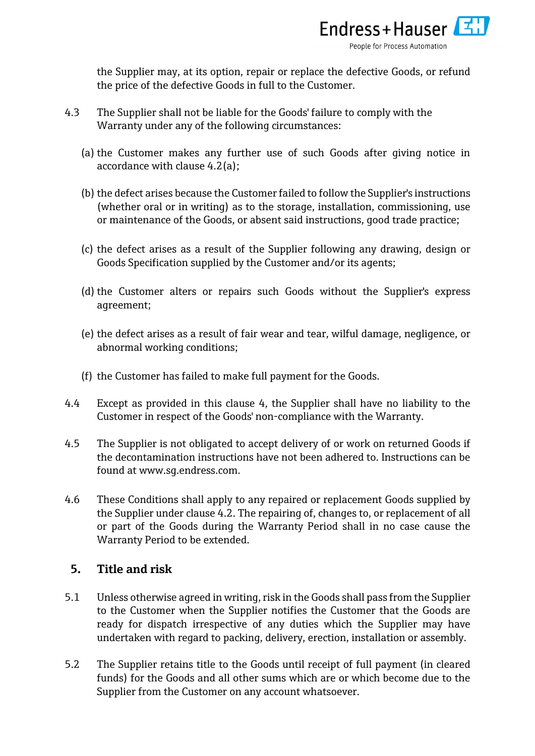

the Supplier may, at its option, repair or replace the defective Goods, or refund the price of the defective Goods in full to the Customer.

- <span id="page-3-0"></span>4.3 The Supplier shall not be liable for the Goods' failure to comply with the Warranty under any of the following circumstances:
	- (a) the Customer makes any further use of such Goods after giving notice in accordance with clause [4.2](#page-2-0)[\(a\);](#page-2-1)
	- (b) the defect arises because the Customer failed to follow the Supplier's instructions (whether oral or in writing) as to the storage, installation, commissioning, use or maintenance of the Goods, or absent said instructions, good trade practice;
	- (c) the defect arises as a result of the Supplier following any drawing, design or Goods Specification supplied by the Customer and/or its agents;
	- (d) the Customer alters or repairs such Goods without the Supplier's express agreement;
	- (e) the defect arises as a result of fair wear and tear, wilful damage, negligence, or abnormal working conditions;
	- (f) the Customer has failed to make full payment for the Goods.
- 4.4 Except as provided in this clause 4, the Supplier shall have no liability to the Customer in respect of the Goods' non-compliance with the Warranty.
- 4.5 The Supplier is not obligated to accept delivery of or work on returned Goods if the decontamination instructions have not been adhered to. Instructions can be found at www.sg.endress.com.
- 4.6 These Conditions shall apply to any repaired or replacement Goods supplied by the Supplier under clause [4.2.](#page-2-0) The repairing of, changes to, or replacement of all or part of the Goods during the Warranty Period shall in no case cause the Warranty Period to be extended.

#### **5. Title and risk**

- 5.1 Unless otherwise agreed in writing, risk in the Goods shall pass from the Supplier to the Customer when the Supplier notifies the Customer that the Goods are ready for dispatch irrespective of any duties which the Supplier may have undertaken with regard to packing, delivery, erection, installation or assembly.
- 5.2 The Supplier retains title to the Goods until receipt of full payment (in cleared funds) for the Goods and all other sums which are or which become due to the Supplier from the Customer on any account whatsoever.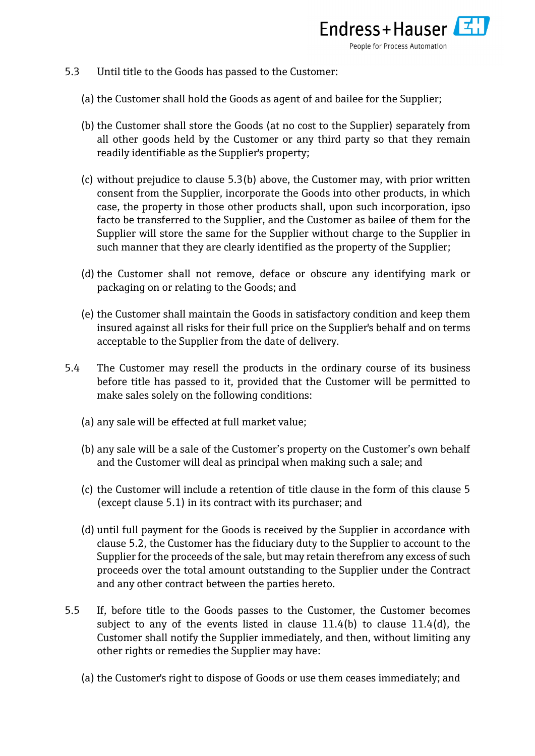

- 5.3 Until title to the Goods has passed to the Customer:
	- (a) the Customer shall hold the Goods as agent of and bailee for the Supplier;
	- (b) the Customer shall store the Goods (at no cost to the Supplier) separately from all other goods held by the Customer or any third party so that they remain readily identifiable as the Supplier's property;
	- (c) without prejudice to clause 5.3(b) above, the Customer may, with prior written consent from the Supplier, incorporate the Goods into other products, in which case, the property in those other products shall, upon such incorporation, ipso facto be transferred to the Supplier, and the Customer as bailee of them for the Supplier will store the same for the Supplier without charge to the Supplier in such manner that they are clearly identified as the property of the Supplier;
	- (d) the Customer shall not remove, deface or obscure any identifying mark or packaging on or relating to the Goods; and
	- (e) the Customer shall maintain the Goods in satisfactory condition and keep them insured against all risks for their full price on the Supplier's behalf and on terms acceptable to the Supplier from the date of delivery.
- 5.4 The Customer may resell the products in the ordinary course of its business before title has passed to it, provided that the Customer will be permitted to make sales solely on the following conditions:
	- (a) any sale will be effected at full market value;
	- (b) any sale will be a sale of the Customer's property on the Customer's own behalf and the Customer will deal as principal when making such a sale; and
	- (c) the Customer will include a retention of title clause in the form of this clause 5 (except clause 5.1) in its contract with its purchaser; and
	- (d) until full payment for the Goods is received by the Supplier in accordance with clause 5.2, the Customer has the fiduciary duty to the Supplier to account to the Supplier for the proceeds of the sale, but may retain therefrom any excess of such proceeds over the total amount outstanding to the Supplier under the Contract and any other contract between the parties hereto.
- 5.5 If, before title to the Goods passes to the Customer, the Customer becomes subject to any of the events listed in clause 11.4(b) to clause 11.4(d), the Customer shall notify the Supplier immediately, and then, without limiting any other rights or remedies the Supplier may have:
	- (a) the Customer's right to dispose of Goods or use them ceases immediately; and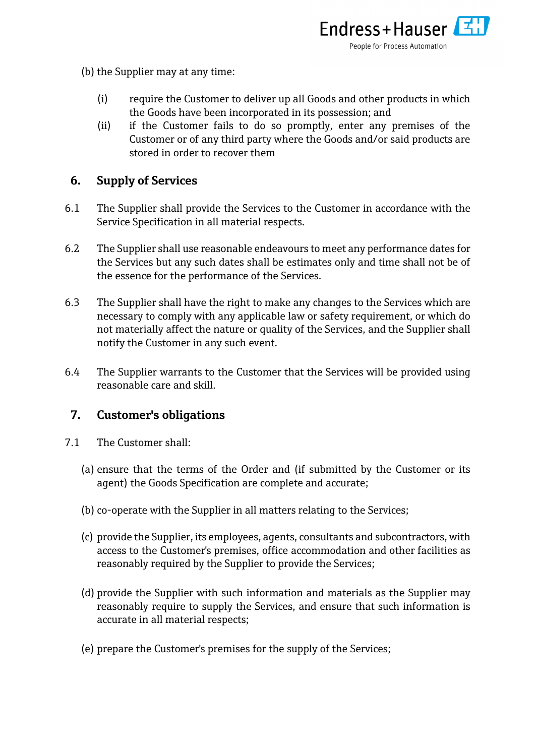(b) the Supplier may at any time:

- (i) require the Customer to deliver up all Goods and other products in which the Goods have been incorporated in its possession; and
- (ii) if the Customer fails to do so promptly, enter any premises of the Customer or of any third party where the Goods and/or said products are stored in order to recover them

# **6. Supply of Services**

- 6.1 The Supplier shall provide the Services to the Customer in accordance with the Service Specification in all material respects.
- 6.2 The Supplier shall use reasonable endeavours to meet any performance dates for the Services but any such dates shall be estimates only and time shall not be of the essence for the performance of the Services.
- 6.3 The Supplier shall have the right to make any changes to the Services which are necessary to comply with any applicable law or safety requirement, or which do not materially affect the nature or quality of the Services, and the Supplier shall notify the Customer in any such event.
- 6.4 The Supplier warrants to the Customer that the Services will be provided using reasonable care and skill.

# **7. Customer's obligations**

- <span id="page-5-0"></span>7.1 The Customer shall:
	- (a) ensure that the terms of the Order and (if submitted by the Customer or its agent) the Goods Specification are complete and accurate;
	- (b) co-operate with the Supplier in all matters relating to the Services;
	- (c) provide the Supplier, its employees, agents, consultants and subcontractors, with access to the Customer's premises, office accommodation and other facilities as reasonably required by the Supplier to provide the Services;
	- (d) provide the Supplier with such information and materials as the Supplier may reasonably require to supply the Services, and ensure that such information is accurate in all material respects;
	- (e) prepare the Customer's premises for the supply of the Services;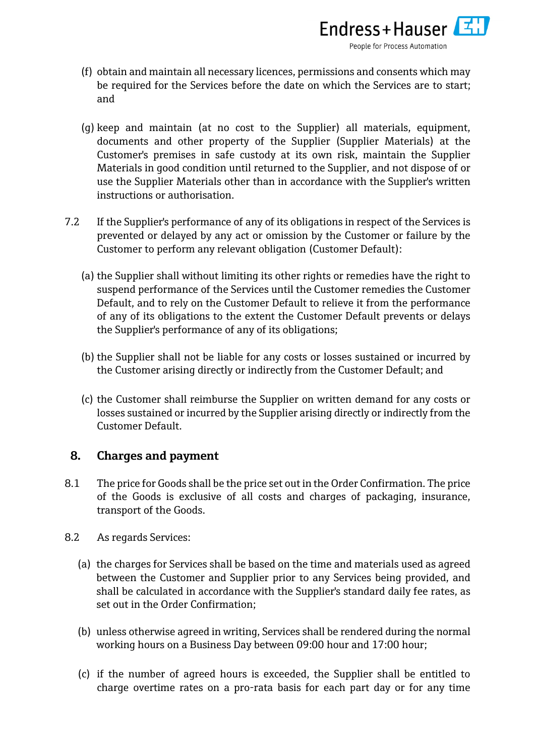

- (f) obtain and maintain all necessary licences, permissions and consents which may be required for the Services before the date on which the Services are to start; and
- <span id="page-6-2"></span>(g) keep and maintain (at no cost to the Supplier) all materials, equipment, documents and other property of the Supplier (Supplier Materials) at the Customer's premises in safe custody at its own risk, maintain the Supplier Materials in good condition until returned to the Supplier, and not dispose of or use the Supplier Materials other than in accordance with the Supplier's written instructions or authorisation.
- 7.2 If the Supplier's performance of any of its obligations in respect of the Services is prevented or delayed by any act or omission by the Customer or failure by the Customer to perform any relevant obligation (Customer Default):
	- (a) the Supplier shall without limiting its other rights or remedies have the right to suspend performance of the Services until the Customer remedies the Customer Default, and to rely on the Customer Default to relieve it from the performance of any of its obligations to the extent the Customer Default prevents or delays the Supplier's performance of any of its obligations;
	- (b) the Supplier shall not be liable for any costs or losses sustained or incurred by the Customer arising directly or indirectly from the Customer Default; and
	- (c) the Customer shall reimburse the Supplier on written demand for any costs or losses sustained or incurred by the Supplier arising directly or indirectly from the Customer Default.

# **8. Charges and payment**

- 8.1 The price for Goods shall be the price set out in the Order Confirmation. The price of the Goods is exclusive of all costs and charges of packaging, insurance, transport of the Goods.
- <span id="page-6-1"></span><span id="page-6-0"></span>8.2 As regards Services:
	- (a) the charges for Services shall be based on the time and materials used as agreed between the Customer and Supplier prior to any Services being provided, and shall be calculated in accordance with the Supplier's standard daily fee rates, as set out in the Order Confirmation;
	- (b) unless otherwise agreed in writing, Services shall be rendered during the normal working hours on a Business Day between 09:00 hour and 17:00 hour;
	- (c) if the number of agreed hours is exceeded, the Supplier shall be entitled to charge overtime rates on a pro-rata basis for each part day or for any time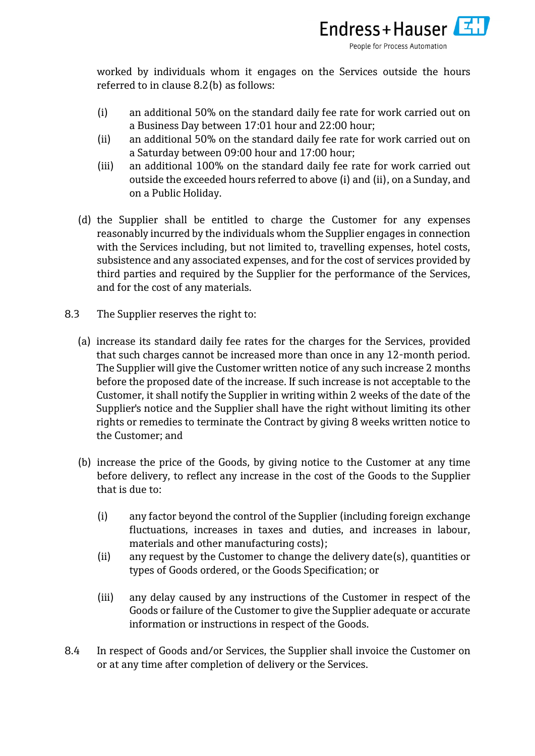

worked by individuals whom it engages on the Services outside the hours referred to in clause [8.2](#page-6-0)[\(b\)](#page-6-1) as follows:

- (i) an additional 50% on the standard daily fee rate for work carried out on a Business Day between 17:01 hour and 22:00 hour;
- (ii) an additional 50% on the standard daily fee rate for work carried out on a Saturday between 09:00 hour and 17:00 hour;
- (iii) an additional 100% on the standard daily fee rate for work carried out outside the exceeded hours referred to above (i) and (ii), on a Sunday, and on a Public Holiday.
- (d) the Supplier shall be entitled to charge the Customer for any expenses reasonably incurred by the individuals whom the Supplier engages in connection with the Services including, but not limited to, travelling expenses, hotel costs, subsistence and any associated expenses, and for the cost of services provided by third parties and required by the Supplier for the performance of the Services, and for the cost of any materials.
- 8.3 The Supplier reserves the right to:
	- (a) increase its standard daily fee rates for the charges for the Services, provided that such charges cannot be increased more than once in any 12-month period. The Supplier will give the Customer written notice of any such increase 2 months before the proposed date of the increase. If such increase is not acceptable to the Customer, it shall notify the Supplier in writing within 2 weeks of the date of the Supplier's notice and the Supplier shall have the right without limiting its other rights or remedies to terminate the Contract by giving 8 weeks written notice to the Customer; and
	- (b) increase the price of the Goods, by giving notice to the Customer at any time before delivery, to reflect any increase in the cost of the Goods to the Supplier that is due to:
		- (i) any factor beyond the control of the Supplier (including foreign exchange fluctuations, increases in taxes and duties, and increases in labour, materials and other manufacturing costs);
		- (ii) any request by the Customer to change the delivery date(s), quantities or types of Goods ordered, or the Goods Specification; or
		- (iii) any delay caused by any instructions of the Customer in respect of the Goods or failure of the Customer to give the Supplier adequate or accurate information or instructions in respect of the Goods.
- 8.4 In respect of Goods and/or Services, the Supplier shall invoice the Customer on or at any time after completion of delivery or the Services.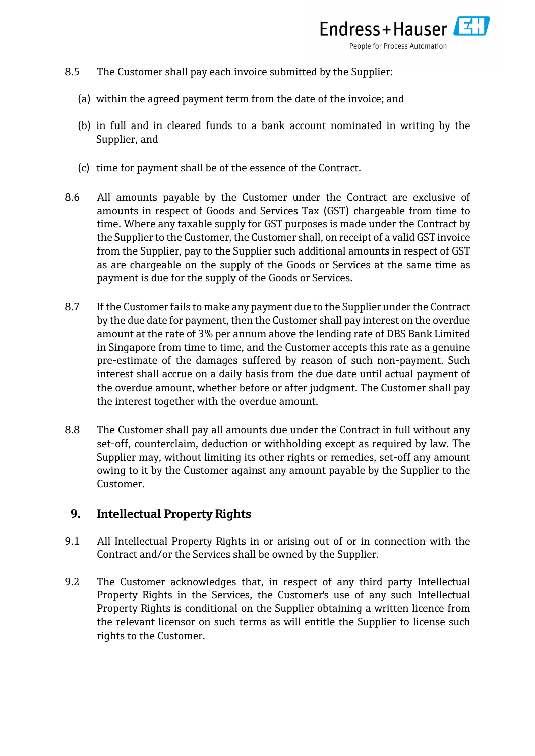

- 8.5 The Customer shall pay each invoice submitted by the Supplier:
	- (a) within the agreed payment term from the date of the invoice; and
	- (b) in full and in cleared funds to a bank account nominated in writing by the Supplier, and
	- (c) time for payment shall be of the essence of the Contract.
- 8.6 All amounts payable by the Customer under the Contract are exclusive of amounts in respect of Goods and Services Tax (GST) chargeable from time to time. Where any taxable supply for GST purposes is made under the Contract by the Supplier to the Customer, the Customer shall, on receipt of a valid GST invoice from the Supplier, pay to the Supplier such additional amounts in respect of GST as are chargeable on the supply of the Goods or Services at the same time as payment is due for the supply of the Goods or Services.
- 8.7 If the Customer fails to make any payment due to the Supplier under the Contract by the due date for payment, then the Customer shall pay interest on the overdue amount at the rate of 3% per annum above the lending rate of DBS Bank Limited in Singapore from time to time, and the Customer accepts this rate as a genuine pre-estimate of the damages suffered by reason of such non-payment. Such interest shall accrue on a daily basis from the due date until actual payment of the overdue amount, whether before or after judgment. The Customer shall pay the interest together with the overdue amount.
- 8.8 The Customer shall pay all amounts due under the Contract in full without any set-off, counterclaim, deduction or withholding except as required by law. The Supplier may, without limiting its other rights or remedies, set-off any amount owing to it by the Customer against any amount payable by the Supplier to the Customer.

#### **9. Intellectual Property Rights**

- 9.1 All Intellectual Property Rights in or arising out of or in connection with the Contract and/or the Services shall be owned by the Supplier.
- <span id="page-8-0"></span>9.2 The Customer acknowledges that, in respect of any third party Intellectual Property Rights in the Services, the Customer's use of any such Intellectual Property Rights is conditional on the Supplier obtaining a written licence from the relevant licensor on such terms as will entitle the Supplier to license such rights to the Customer.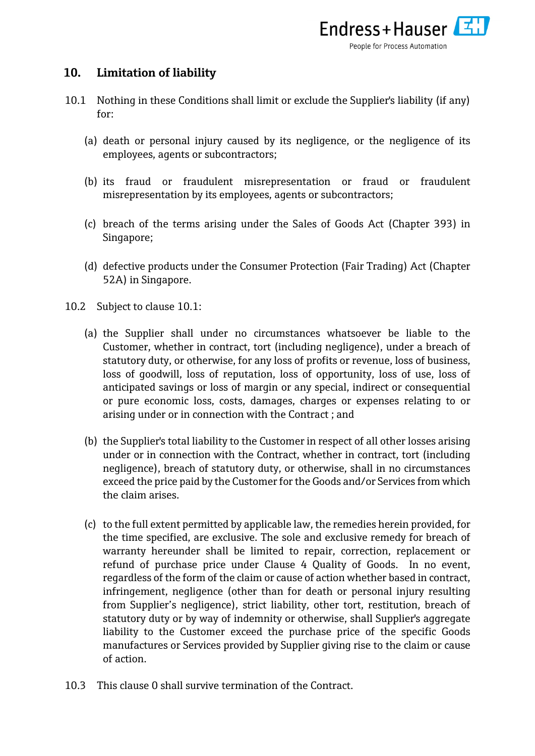# **10. Limitation of liability**

- <span id="page-9-0"></span>10.1 Nothing in these Conditions shall limit or exclude the Supplier's liability (if any) for:
	- (a) death or personal injury caused by its negligence, or the negligence of its employees, agents or subcontractors;
	- (b) its fraud or fraudulent misrepresentation or fraud or fraudulent misrepresentation by its employees, agents or subcontractors;
	- (c) breach of the terms arising under the Sales of Goods Act (Chapter 393) in Singapore;
	- (d) defective products under the Consumer Protection (Fair Trading) Act (Chapter 52A) in Singapore.
- 10.2 Subject to clause [10.1:](#page-9-0)
	- (a) the Supplier shall under no circumstances whatsoever be liable to the Customer, whether in contract, tort (including negligence), under a breach of statutory duty, or otherwise, for any loss of profits or revenue, loss of business, loss of goodwill, loss of reputation, loss of opportunity, loss of use, loss of anticipated savings or loss of margin or any special, indirect or consequential or pure economic loss, costs, damages, charges or expenses relating to or arising under or in connection with the Contract ; and
	- (b) the Supplier's total liability to the Customer in respect of all other losses arising under or in connection with the Contract, whether in contract, tort (including negligence), breach of statutory duty, or otherwise, shall in no circumstances exceed the price paid by the Customer for the Goods and/or Services from which the claim arises.
	- (c) to the full extent permitted by applicable law, the remedies herein provided, for the time specified, are exclusive. The sole and exclusive remedy for breach of warranty hereunder shall be limited to repair, correction, replacement or refund of purchase price under Clause 4 Quality of Goods. In no event, regardless of the form of the claim or cause of action whether based in contract, infringement, negligence (other than for death or personal injury resulting from Supplier's negligence), strict liability, other tort, restitution, breach of statutory duty or by way of indemnity or otherwise, shall Supplier's aggregate liability to the Customer exceed the purchase price of the specific Goods manufactures or Services provided by Supplier giving rise to the claim or cause of action.
- 10.3 This clause [0](#page-8-0) shall survive termination of the Contract.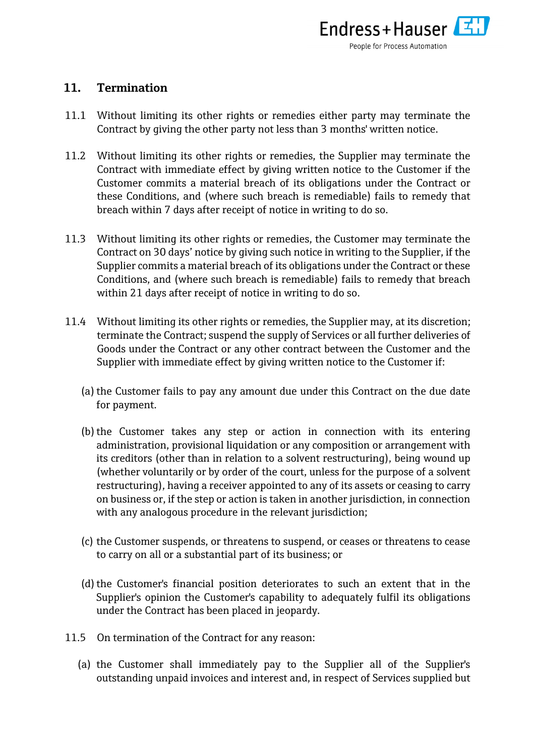

#### **11. Termination**

- 11.1 Without limiting its other rights or remedies either party may terminate the Contract by giving the other party not less than 3 months' written notice.
- 11.2 Without limiting its other rights or remedies, the Supplier may terminate the Contract with immediate effect by giving written notice to the Customer if the Customer commits a material breach of its obligations under the Contract or these Conditions, and (where such breach is remediable) fails to remedy that breach within 7 days after receipt of notice in writing to do so.
- 11.3 Without limiting its other rights or remedies, the Customer may terminate the Contract on 30 days' notice by giving such notice in writing to the Supplier, if the Supplier commits a material breach of its obligations under the Contract or these Conditions, and (where such breach is remediable) fails to remedy that breach within 21 days after receipt of notice in writing to do so.
- 11.4 Without limiting its other rights or remedies, the Supplier may, at its discretion; terminate the Contract; suspend the supply of Services or all further deliveries of Goods under the Contract or any other contract between the Customer and the Supplier with immediate effect by giving written notice to the Customer if:
	- (a) the Customer fails to pay any amount due under this Contract on the due date for payment.
	- (b) the Customer takes any step or action in connection with its entering administration, provisional liquidation or any composition or arrangement with its creditors (other than in relation to a solvent restructuring), being wound up (whether voluntarily or by order of the court, unless for the purpose of a solvent restructuring), having a receiver appointed to any of its assets or ceasing to carry on business or, if the step or action is taken in another jurisdiction, in connection with any analogous procedure in the relevant jurisdiction;
	- (c) the Customer suspends, or threatens to suspend, or ceases or threatens to cease to carry on all or a substantial part of its business; or
	- (d) the Customer's financial position deteriorates to such an extent that in the Supplier's opinion the Customer's capability to adequately fulfil its obligations under the Contract has been placed in jeopardy.
- 11.5 On termination of the Contract for any reason:
	- (a) the Customer shall immediately pay to the Supplier all of the Supplier's outstanding unpaid invoices and interest and, in respect of Services supplied but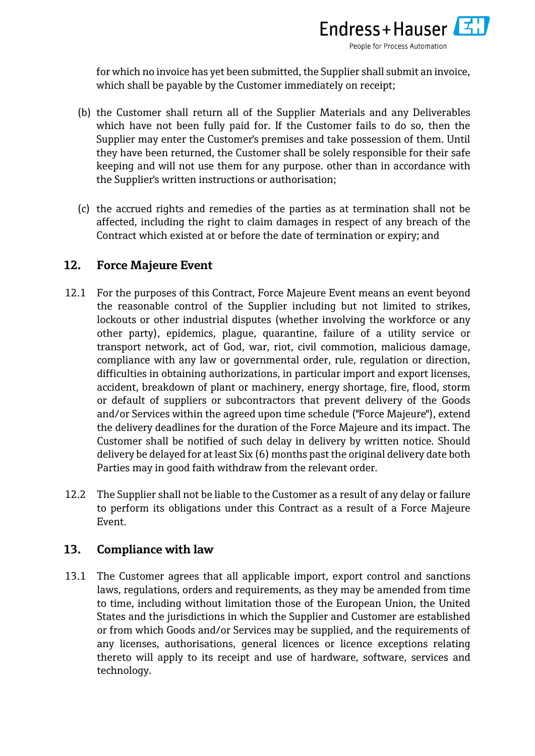

for which no invoice has yet been submitted, the Supplier shall submit an invoice, which shall be payable by the Customer immediately on receipt;

- (b) the Customer shall return all of the Supplier Materials and any Deliverables which have not been fully paid for. If the Customer fails to do so, then the Supplier may enter the Customer's premises and take possession of them. Until they have been returned, the Customer shall be solely responsible for their safe keeping and will not use them for any purpose. other than in accordance with the Supplier's written instructions or authorisation;
- (c) the accrued rights and remedies of the parties as at termination shall not be affected, including the right to claim damages in respect of any breach of the Contract which existed at or before the date of termination or expiry; and

# <span id="page-11-0"></span>**12. Force Majeure Event**

- 12.1 For the purposes of this Contract, Force Majeure Event means an event beyond the reasonable control of the Supplier including but not limited to strikes, lockouts or other industrial disputes (whether involving the workforce or any other party), epidemics, plague, quarantine, failure of a utility service or transport network, act of God, war, riot, civil commotion, malicious damage, compliance with any law or governmental order, rule, regulation or direction, difficulties in obtaining authorizations, in particular import and export licenses, accident, breakdown of plant or machinery, energy shortage, fire, flood, storm or default of suppliers or subcontractors that prevent delivery of the Goods and/or Services within the agreed upon time schedule ("Force Majeure"), extend the delivery deadlines for the duration of the Force Majeure and its impact. The Customer shall be notified of such delay in delivery by written notice. Should delivery be delayed for at least Six (6) months past the original delivery date both Parties may in good faith withdraw from the relevant order.
- 12.2 The Supplier shall not be liable to the Customer as a result of any delay or failure to perform its obligations under this Contract as a result of a Force Majeure Event.

#### **13. Compliance with law**

13.1 The Customer agrees that all applicable import, export control and sanctions laws, regulations, orders and requirements, as they may be amended from time to time, including without limitation those of the European Union, the United States and the jurisdictions in which the Supplier and Customer are established or from which Goods and/or Services may be supplied, and the requirements of any licenses, authorisations, general licences or licence exceptions relating thereto will apply to its receipt and use of hardware, software, services and technology.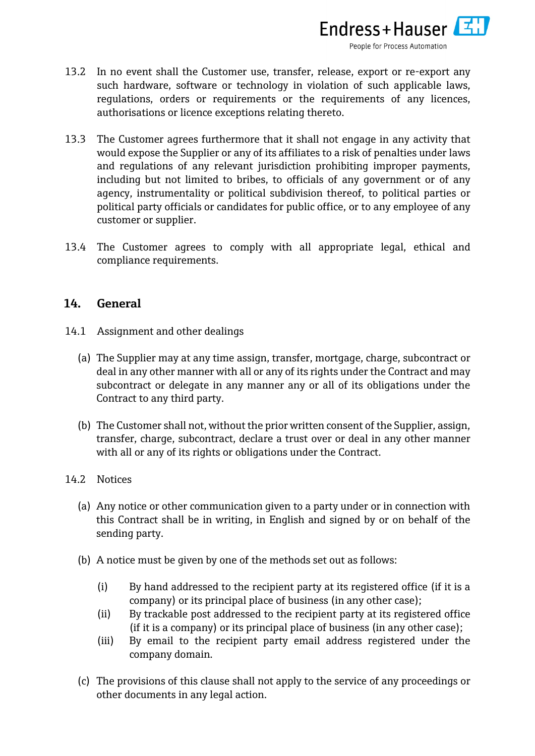

- 13.2 In no event shall the Customer use, transfer, release, export or re-export any such hardware, software or technology in violation of such applicable laws, regulations, orders or requirements or the requirements of any licences, authorisations or licence exceptions relating thereto.
- 13.3 The Customer agrees furthermore that it shall not engage in any activity that would expose the Supplier or any of its affiliates to a risk of penalties under laws and regulations of any relevant jurisdiction prohibiting improper payments, including but not limited to bribes, to officials of any government or of any agency, instrumentality or political subdivision thereof, to political parties or political party officials or candidates for public office, or to any employee of any customer or supplier.
- 13.4 The Customer agrees to comply with all appropriate legal, ethical and compliance requirements.

# **14. General**

- 14.1 Assignment and other dealings
	- (a) The Supplier may at any time assign, transfer, mortgage, charge, subcontract or deal in any other manner with all or any of its rights under the Contract and may subcontract or delegate in any manner any or all of its obligations under the Contract to any third party.
	- (b) The Customer shall not, without the prior written consent of the Supplier, assign, transfer, charge, subcontract, declare a trust over or deal in any other manner with all or any of its rights or obligations under the Contract.
- 14.2 Notices
	- (a) Any notice or other communication given to a party under or in connection with this Contract shall be in writing, in English and signed by or on behalf of the sending party.
	- (b) A notice must be given by one of the methods set out as follows:
		- (i) By hand addressed to the recipient party at its registered office (if it is a company) or its principal place of business (in any other case);
		- (ii) By trackable post addressed to the recipient party at its registered office (if it is a company) or its principal place of business (in any other case);
		- (iii) By email to the recipient party email address registered under the company domain.
	- (c) The provisions of this clause shall not apply to the service of any proceedings or other documents in any legal action.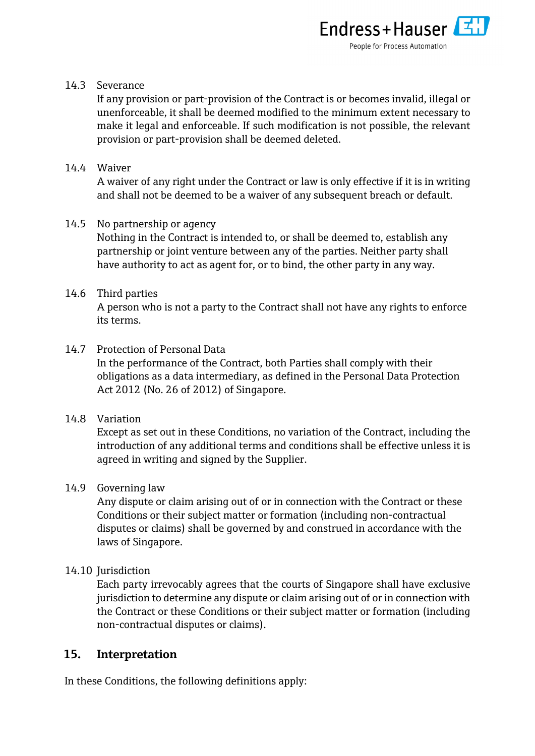

#### 14.3 Severance

If any provision or part-provision of the Contract is or becomes invalid, illegal or unenforceable, it shall be deemed modified to the minimum extent necessary to make it legal and enforceable. If such modification is not possible, the relevant provision or part-provision shall be deemed deleted.

#### 14.4 Waiver

A waiver of any right under the Contract or law is only effective if it is in writing and shall not be deemed to be a waiver of any subsequent breach or default.

#### 14.5 No partnership or agency

Nothing in the Contract is intended to, or shall be deemed to, establish any partnership or joint venture between any of the parties. Neither party shall have authority to act as agent for, or to bind, the other party in any way.

#### 14.6 Third parties

A person who is not a party to the Contract shall not have any rights to enforce its terms.

#### 14.7 Protection of Personal Data

In the performance of the Contract, both Parties shall comply with their obligations as a data intermediary, as defined in the Personal Data Protection Act 2012 (No. 26 of 2012) of Singapore.

#### 14.8 Variation

Except as set out in these Conditions, no variation of the Contract, including the introduction of any additional terms and conditions shall be effective unless it is agreed in writing and signed by the Supplier.

#### 14.9 Governing law

Any dispute or claim arising out of or in connection with the Contract or these Conditions or their subject matter or formation (including non-contractual disputes or claims) shall be governed by and construed in accordance with the laws of Singapore.

#### 14.10 Jurisdiction

Each party irrevocably agrees that the courts of Singapore shall have exclusive jurisdiction to determine any dispute or claim arising out of or in connection with the Contract or these Conditions or their subject matter or formation (including non-contractual disputes or claims).

#### **15. Interpretation**

In these Conditions, the following definitions apply: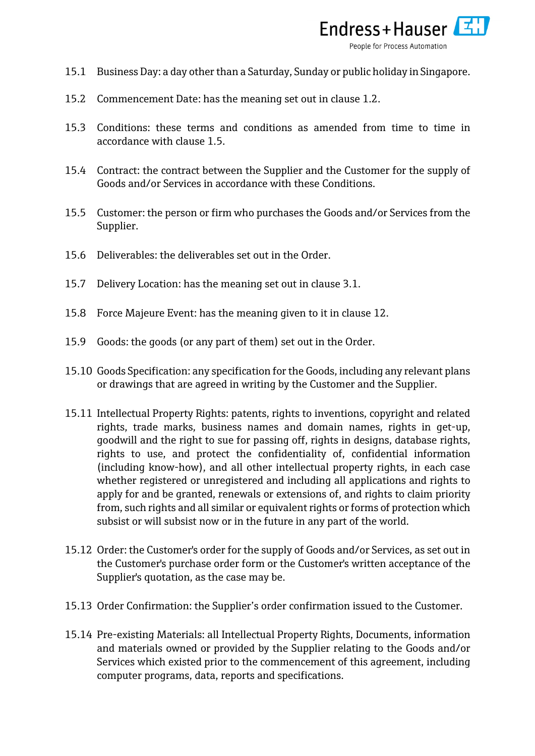

- 15.1 Business Day: a day other than a Saturday, Sunday or public holiday in Singapore.
- 15.2 Commencement Date: has the meaning set out in clause [1.2.](#page-0-0)
- 15.3 Conditions: these terms and conditions as amended from time to time in accordance with clause [1.5.](#page-0-1)
- 15.4 Contract: the contract between the Supplier and the Customer for the supply of Goods and/or Services in accordance with these Conditions.
- 15.5 Customer: the person or firm who purchases the Goods and/or Services from the Supplier.
- 15.6 Deliverables: the deliverables set out in the Order.
- 15.7 Delivery Location: has the meaning set out in clause [3.1.](#page-1-0)
- 15.8 Force Majeure Event: has the meaning given to it in clause [12.](#page-11-0)
- 15.9 Goods: the goods (or any part of them) set out in the Order.
- 15.10 Goods Specification: any specification for the Goods, including any relevant plans or drawings that are agreed in writing by the Customer and the Supplier.
- 15.11 Intellectual Property Rights: patents, rights to inventions, copyright and related rights, trade marks, business names and domain names, rights in get-up, goodwill and the right to sue for passing off, rights in designs, database rights, rights to use, and protect the confidentiality of, confidential information (including know-how), and all other intellectual property rights, in each case whether registered or unregistered and including all applications and rights to apply for and be granted, renewals or extensions of, and rights to claim priority from, such rights and all similar or equivalent rights or forms of protection which subsist or will subsist now or in the future in any part of the world.
- 15.12 Order: the Customer's order for the supply of Goods and/or Services, as set out in the Customer's purchase order form or the Customer's written acceptance of the Supplier's quotation, as the case may be.
- 15.13 Order Confirmation: the Supplier's order confirmation issued to the Customer.
- 15.14 Pre-existing Materials: all Intellectual Property Rights, Documents, information and materials owned or provided by the Supplier relating to the Goods and/or Services which existed prior to the commencement of this agreement, including computer programs, data, reports and specifications.